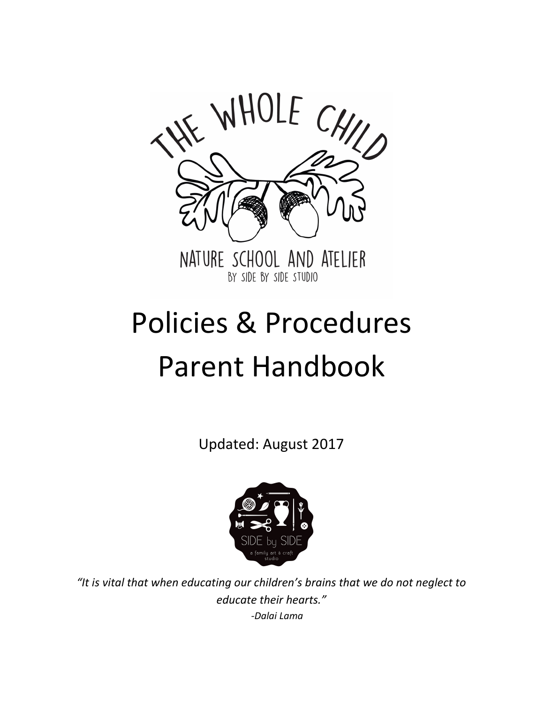

# Policies & Procedures Parent Handbook

Updated: August 2017



*"It is vital that when educating our children's brains that we do not neglect to educate their hearts." -Dalai Lama*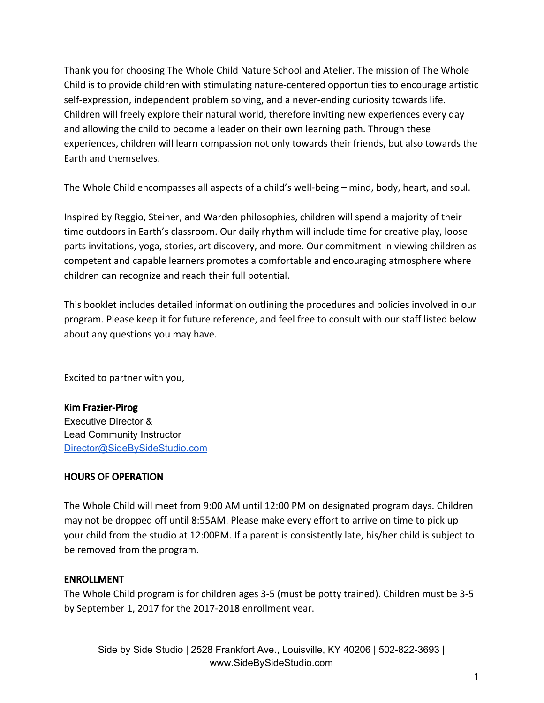Thank you for choosing The Whole Child Nature School and Atelier. The mission of The Whole Child is to provide children with stimulating nature-centered opportunities to encourage artistic self-expression, independent problem solving, and a never-ending curiosity towards life. Children will freely explore their natural world, therefore inviting new experiences every day and allowing the child to become a leader on their own learning path. Through these experiences, children will learn compassion not only towards their friends, but also towards the Earth and themselves.

The Whole Child encompasses all aspects of a child's well-being – mind, body, heart, and soul.

Inspired by Reggio, Steiner, and Warden philosophies, children will spend a majority of their time outdoors in Earth's classroom. Our daily rhythm will include time for creative play, loose parts invitations, yoga, stories, art discovery, and more. Our commitment in viewing children as competent and capable learners promotes a comfortable and encouraging atmosphere where children can recognize and reach their full potential.

This booklet includes detailed information outlining the procedures and policies involved in our program. Please keep it for future reference, and feel free to consult with our staff listed below about any questions you may have.

Excited to partner with you,

### Kim Frazier-Pirog

Executive Director & Lead Community Instructor [Director@SideBySideStudio.com](mailto:Director@SideBySideStudio.com)

### HOURS OF OPERATION

The Whole Child will meet from 9:00 AM until 12:00 PM on designated program days. Children may not be dropped off until 8:55AM. Please make every effort to arrive on time to pick up your child from the studio at 12:00PM. If a parent is consistently late, his/her child is subject to be removed from the program.

### ENROLLMENT

The Whole Child program is for children ages 3-5 (must be potty trained). Children must be 3-5 by September 1, 2017 for the 2017-2018 enrollment year.

Side by Side Studio | 2528 Frankfort Ave., Louisville, KY 40206 | 502-822-3693 | www.SideBySideStudio.com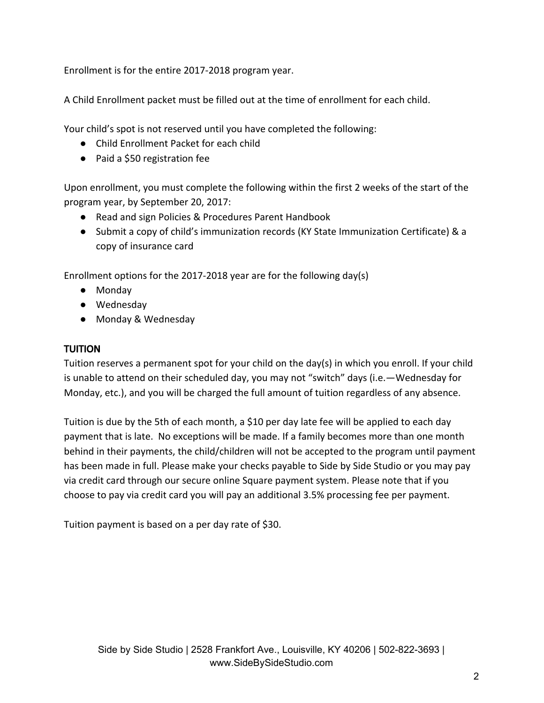Enrollment is for the entire 2017-2018 program year.

A Child Enrollment packet must be filled out at the time of enrollment for each child.

Your child's spot is not reserved until you have completed the following:

- Child Enrollment Packet for each child
- Paid a \$50 registration fee

Upon enrollment, you must complete the following within the first 2 weeks of the start of the program year, by September 20, 2017:

- Read and sign Policies & Procedures Parent Handbook
- Submit a copy of child's immunization records (KY State Immunization Certificate) & a copy of insurance card

Enrollment options for the 2017-2018 year are for the following day(s)

- Monday
- Wednesday
- Monday & Wednesday

### TUITION

Tuition reserves a permanent spot for your child on the day(s) in which you enroll. If your child is unable to attend on their scheduled day, you may not "switch" days (i.e.—Wednesday for Monday, etc.), and you will be charged the full amount of tuition regardless of any absence.

Tuition is due by the 5th of each month, a \$10 per day late fee will be applied to each day payment that is late. No exceptions will be made. If a family becomes more than one month behind in their payments, the child/children will not be accepted to the program until payment has been made in full. Please make your checks payable to Side by Side Studio or you may pay via credit card through our secure online Square payment system. Please note that if you choose to pay via credit card you will pay an additional 3.5% processing fee per payment.

Tuition payment is based on a per day rate of \$30.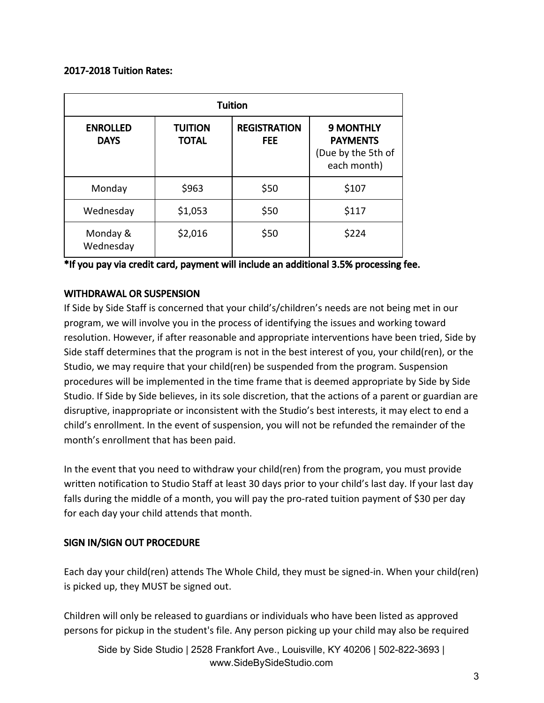### 2017-2018 Tuition Rates:

| <b>Tuition</b>                 |                                |                                   |                                                                          |  |  |
|--------------------------------|--------------------------------|-----------------------------------|--------------------------------------------------------------------------|--|--|
| <b>ENROLLED</b><br><b>DAYS</b> | <b>TUITION</b><br><b>TOTAL</b> | <b>REGISTRATION</b><br><b>FEE</b> | <b>9 MONTHLY</b><br><b>PAYMENTS</b><br>(Due by the 5th of<br>each month) |  |  |
| Monday                         | \$963                          | \$50                              | \$107                                                                    |  |  |
| Wednesday                      | \$1,053                        | \$50                              | \$117                                                                    |  |  |
| Monday &<br>Wednesday          | \$2,016                        | \$50                              | \$224                                                                    |  |  |

\*If you pay via credit card, payment will include an additional 3.5% processing fee.

### WITHDRAWAL OR SUSPENSION

If Side by Side Staff is concerned that your child's/children's needs are not being met in our program, we will involve you in the process of identifying the issues and working toward resolution. However, if after reasonable and appropriate interventions have been tried, Side by Side staff determines that the program is not in the best interest of you, your child(ren), or the Studio, we may require that your child(ren) be suspended from the program. Suspension procedures will be implemented in the time frame that is deemed appropriate by Side by Side Studio. If Side by Side believes, in its sole discretion, that the actions of a parent or guardian are disruptive, inappropriate or inconsistent with the Studio's best interests, it may elect to end a child's enrollment. In the event of suspension, you will not be refunded the remainder of the month's enrollment that has been paid.

In the event that you need to withdraw your child(ren) from the program, you must provide written notification to Studio Staff at least 30 days prior to your child's last day. If your last day falls during the middle of a month, you will pay the pro-rated tuition payment of \$30 per day for each day your child attends that month.

### SIGN IN/SIGN OUT PROCEDURE

Each day your child(ren) attends The Whole Child, they must be signed-in. When your child(ren) is picked up, they MUST be signed out.

Children will only be released to guardians or individuals who have been listed as approved persons for pickup in the student's file. Any person picking up your child may also be required

Side by Side Studio | 2528 Frankfort Ave., Louisville, KY 40206 | 502-822-3693 | www.SideBySideStudio.com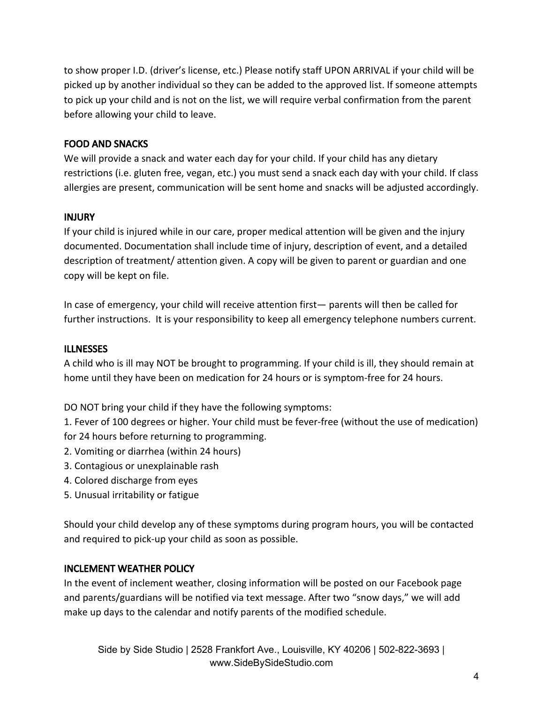to show proper I.D. (driver's license, etc.) Please notify staff UPON ARRIVAL if your child will be picked up by another individual so they can be added to the approved list. If someone attempts to pick up your child and is not on the list, we will require verbal confirmation from the parent before allowing your child to leave.

### FOOD AND SNACKS

We will provide a snack and water each day for your child. If your child has any dietary restrictions (i.e. gluten free, vegan, etc.) you must send a snack each day with your child. If class allergies are present, communication will be sent home and snacks will be adjusted accordingly.

### INJURY

If your child is injured while in our care, proper medical attention will be given and the injury documented. Documentation shall include time of injury, description of event, and a detailed description of treatment/ attention given. A copy will be given to parent or guardian and one copy will be kept on file.

In case of emergency, your child will receive attention first— parents will then be called for further instructions. It is your responsibility to keep all emergency telephone numbers current.

### **ILLNESSES**

A child who is ill may NOT be brought to programming. If your child is ill, they should remain at home until they have been on medication for 24 hours or is symptom-free for 24 hours.

DO NOT bring your child if they have the following symptoms:

1. Fever of 100 degrees or higher. Your child must be fever-free (without the use of medication) for 24 hours before returning to programming.

- 2. Vomiting or diarrhea (within 24 hours)
- 3. Contagious or unexplainable rash
- 4. Colored discharge from eyes
- 5. Unusual irritability or fatigue

Should your child develop any of these symptoms during program hours, you will be contacted and required to pick-up your child as soon as possible.

### INCLEMENT WEATHER POLICY

In the event of inclement weather, closing information will be posted on our Facebook page and parents/guardians will be notified via text message. After two "snow days," we will add make up days to the calendar and notify parents of the modified schedule.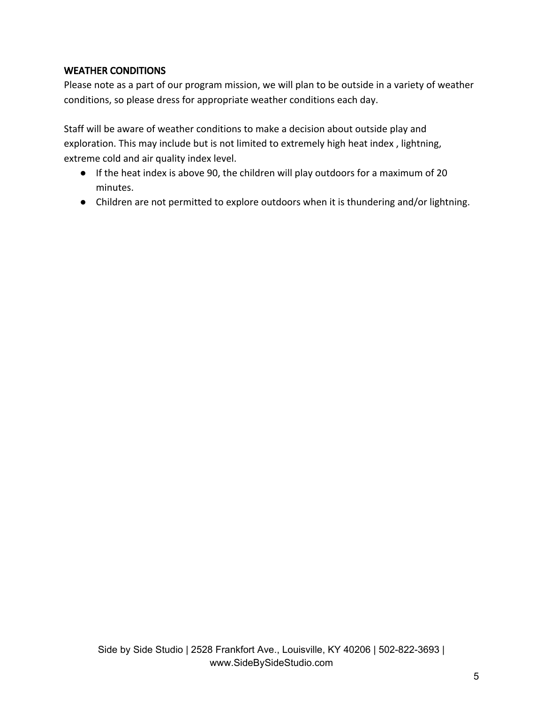### WEATHER CONDITIONS

Please note as a part of our program mission, we will plan to be outside in a variety of weather conditions, so please dress for appropriate weather conditions each day.

Staff will be aware of weather conditions to make a decision about outside play and exploration. This may include but is not limited to extremely high heat index, lightning, extreme cold and air quality index level.

- If the heat index is above 90, the children will play outdoors for a maximum of 20 minutes.
- Children are not permitted to explore outdoors when it is thundering and/or lightning.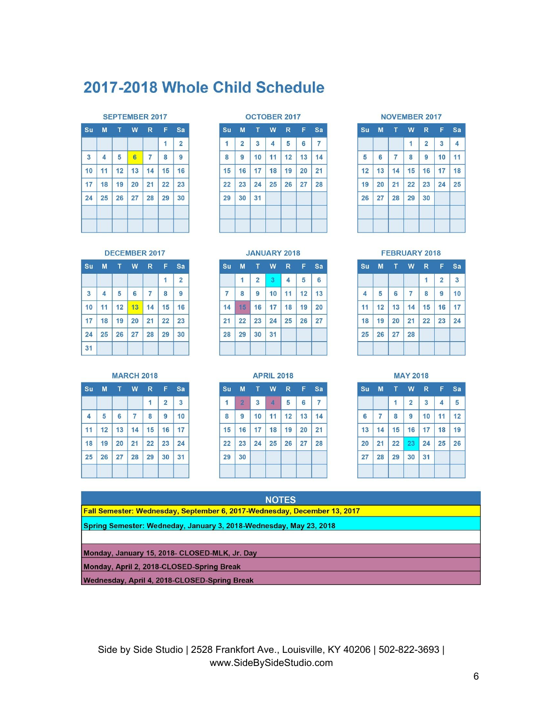## 2017-2018 Whole Child Schedule

### **SEPTEMBER 2017**

| Su                      |    | M <sub>T</sub> |    |                | W R F | Sa             |
|-------------------------|----|----------------|----|----------------|-------|----------------|
|                         |    |                |    |                | 1     | $\overline{2}$ |
| $\overline{\mathbf{3}}$ | 4  | 5              | 6  | $\overline{7}$ | 8     | 9              |
| 10                      | 11 | 12             | 13 | 14             | 15    | 16             |
| 17                      | 18 | 19             | 20 | 21             | 22    | 23             |
| 24                      | 25 | 26             | 27 | 28             | 29    | 30             |
|                         |    |                |    |                |       |                |
|                         |    |                |    |                |       |                |

### **OCTOBER 2017**

| 1<br>8<br>15 | $\overline{2}$<br>9 | 3<br>10 | 4<br>11 | 5<br>12 | 6<br>13 | $\overline{7}$<br>14 |
|--------------|---------------------|---------|---------|---------|---------|----------------------|
|              |                     |         |         |         |         |                      |
|              |                     |         |         |         |         |                      |
|              | 16                  | 17      | 18      | 19      | 20      | 21                   |
| 22           | 23                  | 24      | 25      | 26      | 27      | 28                   |
| 29           | 30                  | 31      |         |         |         |                      |

### **NOVEMBER 2017**

| Su | <b>M</b>       | T              | W  | $R =$          | F. | Sa |
|----|----------------|----------------|----|----------------|----|----|
|    |                |                | 1  | $\overline{2}$ | 3  | 4  |
| 5  | $6\phantom{a}$ | $\overline{7}$ | 8  | 9              | 10 | 11 |
| 12 | 13             | 14             | 15 | 16             | 17 | 18 |
| 19 | 20             | 21             | 22 | 23             | 24 | 25 |
| 26 | 27             | 28             | 29 | 30             |    |    |
|    |                |                |    |                |    |    |
|    |                |                |    |                |    |    |

### FEBRUARY 2018

| <b>Su</b> |    |              | M T W R F Sa         |    |                |                         |
|-----------|----|--------------|----------------------|----|----------------|-------------------------|
|           |    |              |                      | 1  | $\overline{2}$ | $\overline{\mathbf{3}}$ |
| 4         | 5  | 6            | $\overline{7}$       | 8  | 9              | 10                      |
| 11        | 12 |              | $13 \mid 14 \mid 15$ |    | 16             | 17                      |
| 18        | 19 | $ 20\rangle$ | 21                   | 22 | 23             | 24                      |
| 25        | 26 | 27           | 28                   |    |                |                         |

| <b>MAY 2018</b> |    |    |                |    |    |    |  |
|-----------------|----|----|----------------|----|----|----|--|
| S <sub>U</sub>  | M  | т  | W              | R  | F  | Sa |  |
|                 |    | 1  | $\overline{2}$ | 3  | 4  | 5  |  |
| 6               | 7  | 8  | 9              | 10 | 11 | 12 |  |
| 13              | 14 | 15 | 16             | 17 | 18 | 19 |  |
| 20              | 21 | 22 | 23             | 24 | 25 | 26 |  |
| 27              | 28 | 29 | 30             | 31 |    |    |  |

### **JANUARY 2018**

| 1<br>8 | $\overline{2}$<br>9 | $\overline{\mathbf{3}}$<br>10 | $\overline{\mathbf{4}}$<br>11 | 5  | 6  |
|--------|---------------------|-------------------------------|-------------------------------|----|----|
|        |                     |                               |                               |    |    |
|        |                     |                               |                               | 12 | 13 |
|        | 16                  | 17                            | 18                            | 19 | 20 |
|        | 23                  | 24                            | 25                            | 26 | 27 |
|        | 30                  | 31                            |                               |    |    |
|        | 15<br>22<br>29      |                               |                               |    |    |

|  |  |  | <b>DECEMBER 2017</b> |  |
|--|--|--|----------------------|--|
|--|--|--|----------------------|--|

| Su                      | M  | т. | W  | $\mathbb{R}$   | F. | Sa             |
|-------------------------|----|----|----|----------------|----|----------------|
|                         |    |    |    |                | 1  | $\overline{2}$ |
| $\overline{\mathbf{3}}$ | 4  | 5  | 6  | $\overline{7}$ | 8  | 9              |
| 10                      | 11 | 12 | 13 | 14             | 15 | 16             |
| 17                      | 18 | 19 | 20 | 21             | 22 | 23             |
| 24                      | 25 | 26 | 27 | 28             | 29 | 30             |
| 31                      |    |    |    |                |    |                |

### **MARCH 2018**

| su |    |    |                | M T W R F Sa |                |    |
|----|----|----|----------------|--------------|----------------|----|
|    |    |    |                | 1            | $\overline{2}$ | 3  |
| 4  | 5  | 6  | $\overline{7}$ | 8            | 9              | 10 |
| 11 | 12 | 13 | 14             | 15           | 16             | 17 |
| 18 | 19 | 20 | 21             | 22           | 23             | 24 |
| 25 | 26 | 27 | 28             | 29           | 30             | 31 |
|    |    |    |                |              |                |    |

| Su | M              | т  | W  | R  | F  | Sa |
|----|----------------|----|----|----|----|----|
| 1  | $\overline{2}$ | 3  | 4  | 5  | 6  | 7  |
| 8  | 9              | 10 | 11 | 12 | 13 | 14 |
| 15 | 16             | 17 | 18 | 19 | 20 | 21 |
| 22 | 23             | 24 | 25 | 26 | 27 | 28 |
| 29 | 30             |    |    |    |    |    |

**NOTES** 

Fall Semester: Wednesday, September 6, 2017-Wednesday, December 13, 2017

### Spring Semester: Wedneday, January 3, 2018-Wednesday, May 23, 2018

### Monday, January 15, 2018- CLOSED-MLK, Jr. Day

Monday, April 2, 2018-CLOSED-Spring Break

Wednesday, April 4, 2018-CLOSED-Spring Break

Side by Side Studio | 2528 Frankfort Ave., Louisville, KY 40206 | 502-822-3693 | www.SideBySideStudio.com

### 6